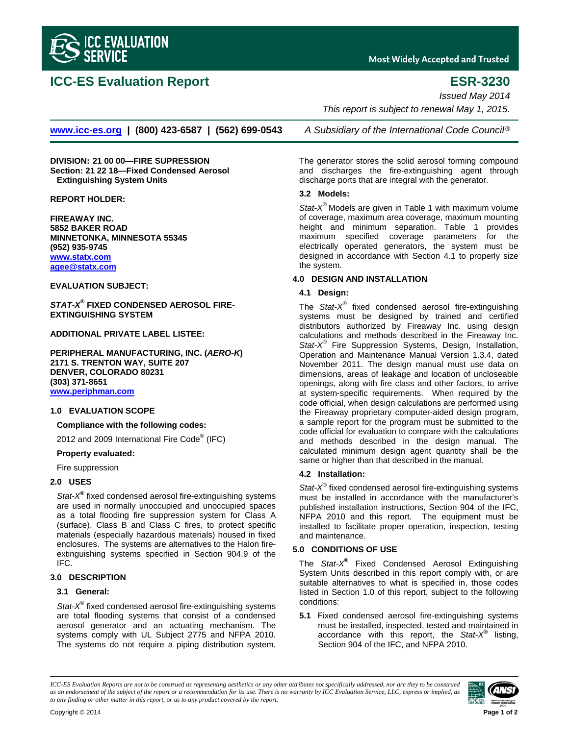

# **ICC-ES Evaluation Report ESR-3230**

**Most Widely Accepted and Trusted** 

*Issued May 2014* 

 *This report is subject to renewal May 1, 2015.* 

**www.icc-es.org | (800) 423-6587 | (562) 699-0543** *A Subsidiary of the International Code Council* ®

**DIVISION: 21 00 00—FIRE SUPRESSION Section: 21 22 18—Fixed Condensed Aerosol Extinguishing System Units** 

**REPORT HOLDER:** 

**FIREAWAY INC. 5852 BAKER ROAD MINNETONKA, MINNESOTA 55345 (952) 935-9745 www.statx.com agee@statx.com**

# **EVALUATION SUBJECT:**

*STAT-X®*  **FIXED CONDENSED AEROSOL FIRE-EXTINGUISHING SYSTEM** 

#### **ADDITIONAL PRIVATE LABEL LISTEE:**

**PERIPHERAL MANUFACTURING, INC. (***AERO-K***) 2171 S. TRENTON WAY, SUITE 207 DENVER, COLORADO 80231 (303) 371-8651 www.periphman.com**

### **1.0 EVALUATION SCOPE**

**Compliance with the following codes:**

2012 and 2009 International Fire Code® (IFC)

#### **Property evaluated:**

Fire suppression

### **2.0 USES**

*Stat-X®* fixed condensed aerosol fire-extinguishing systems are used in normally unoccupied and unoccupied spaces as a total flooding fire suppression system for Class A (surface), Class B and Class C fires, to protect specific materials (especially hazardous materials) housed in fixed enclosures. The systems are alternatives to the Halon fireextinguishing systems specified in Section 904.9 of the IFC.

# **3.0 DESCRIPTION**

# **3.1 General:**

*Stat-X®* fixed condensed aerosol fire-extinguishing systems are total flooding systems that consist of a condensed aerosol generator and an actuating mechanism. The systems comply with UL Subject 2775 and NFPA 2010. The systems do not require a piping distribution system.

The generator stores the solid aerosol forming compound and discharges the fire-extinguishing agent through discharge ports that are integral with the generator.

# **3.2 Models:**

*Stat-X®* Models are given in Table 1 with maximum volume of coverage, maximum area coverage, maximum mounting height and minimum separation. Table 1 provides maximum specified coverage parameters for the electrically operated generators, the system must be designed in accordance with Section 4.1 to properly size the system.

### **4.0 DESIGN AND INSTALLATION**

# **4.1 Design:**

The *Stat-X®* fixed condensed aerosol fire-extinguishing systems must be designed by trained and certified distributors authorized by Fireaway Inc. using design calculations and methods described in the Fireaway Inc. *Stat-X®* Fire Suppression Systems, Design, Installation, Operation and Maintenance Manual Version 1.3.4, dated November 2011. The design manual must use data on dimensions, areas of leakage and location of uncloseable openings, along with fire class and other factors, to arrive at system-specific requirements. When required by the code official, when design calculations are performed using the Fireaway proprietary computer-aided design program, a sample report for the program must be submitted to the code official for evaluation to compare with the calculations and methods described in the design manual. The calculated minimum design agent quantity shall be the same or higher than that described in the manual.

# **4.2 Installation:**

*Stat-X®* fixed condensed aerosol fire-extinguishing systems must be installed in accordance with the manufacturer's published installation instructions, Section 904 of the IFC, NFPA 2010 and this report. The equipment must be installed to facilitate proper operation, inspection, testing and maintenance.

### **5.0 CONDITIONS OF USE**

The *Stat-X®* Fixed Condensed Aerosol Extinguishing System Units described in this report comply with, or are suitable alternatives to what is specified in, those codes listed in Section 1.0 of this report, subject to the following conditions:

**5.1** Fixed condensed aerosol fire-extinguishing systems must be installed, inspected, tested and maintained in accordance with this report, the *Stat-X®* listing, Section 904 of the IFC, and NFPA 2010.

*ICC-ES Evaluation Reports are not to be construed as representing aesthetics or any other attributes not specifically addressed, nor are they to be construed as an endorsement of the subject of the report or a recommendation for its use. There is no warranty by ICC Evaluation Service, LLC, express or implied, as to any finding or other matter in this report, or as to any product covered by the report.*